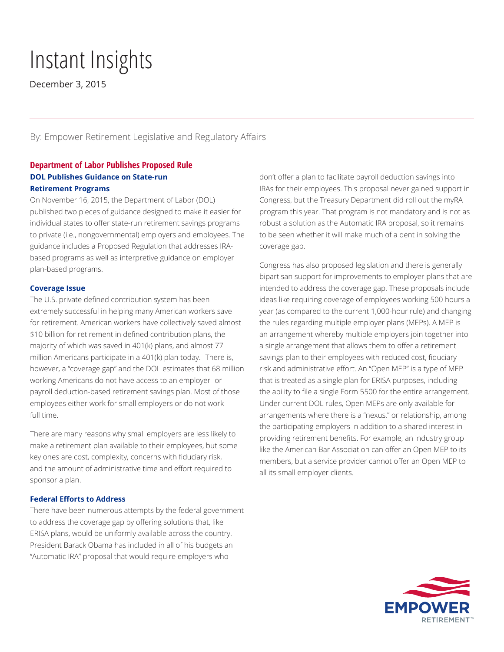# Instant Insights

December 3, 2015

By: Empower Retirement Legislative and Regulatory Affairs

# **Department of Labor Publishes Proposed Rule DOL Publishes Guidance on State-run Retirement Programs**

On November 16, 2015, the Department of Labor (DOL) published two pieces of guidance designed to make it easier for individual states to offer state-run retirement savings programs to private (i.e., nongovernmental) employers and employees. The guidance includes a Proposed Regulation that addresses IRAbased programs as well as interpretive guidance on employer plan-based programs.

## **Coverage Issue**

The U.S. private defined contribution system has been extremely successful in helping many American workers save for retirement. American workers have collectively saved almost \$10 billion for retirement in defined contribution plans, the majority of which was saved in 401(k) plans, and almost 77 million Americans participate in a 401(k) plan today.<sup>1</sup> There is, however, a "coverage gap" and the DOL estimates that 68 million working Americans do not have access to an employer- or payroll deduction-based retirement savings plan. Most of those employees either work for small employers or do not work full time.

There are many reasons why small employers are less likely to make a retirement plan available to their employees, but some key ones are cost, complexity, concerns with fiduciary risk, and the amount of administrative time and effort required to sponsor a plan.

## **Federal Efforts to Address**

There have been numerous attempts by the federal government to address the coverage gap by offering solutions that, like ERISA plans, would be uniformly available across the country. President Barack Obama has included in all of his budgets an "Automatic IRA" proposal that would require employers who

don't offer a plan to facilitate payroll deduction savings into IRAs for their employees. This proposal never gained support in Congress, but the Treasury Department did roll out the myRA program this year. That program is not mandatory and is not as robust a solution as the Automatic IRA proposal, so it remains to be seen whether it will make much of a dent in solving the coverage gap.

Congress has also proposed legislation and there is generally bipartisan support for improvements to employer plans that are intended to address the coverage gap. These proposals include ideas like requiring coverage of employees working 500 hours a year (as compared to the current 1,000-hour rule) and changing the rules regarding multiple employer plans (MEPs). A MEP is an arrangement whereby multiple employers join together into a single arrangement that allows them to offer a retirement savings plan to their employees with reduced cost, fiduciary risk and administrative effort. An "Open MEP" is a type of MEP that is treated as a single plan for ERISA purposes, including the ability to file a single Form 5500 for the entire arrangement. Under current DOL rules, Open MEPs are only available for arrangements where there is a "nexus," or relationship, among the participating employers in addition to a shared interest in providing retirement benefits. For example, an industry group like the American Bar Association can offer an Open MEP to its members, but a service provider cannot offer an Open MEP to all its small employer clients.

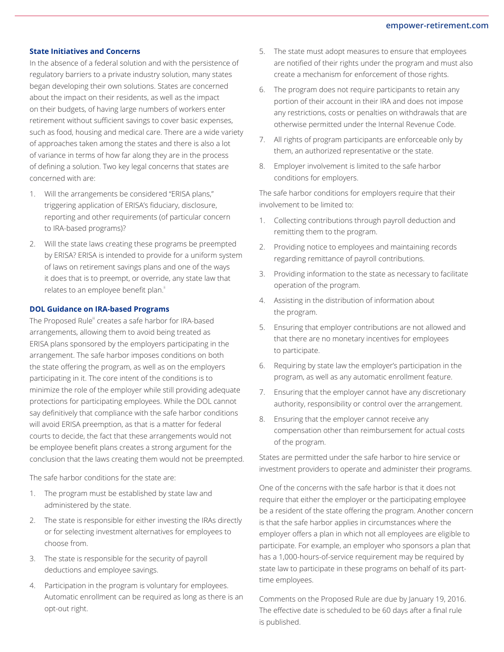# **State Initiatives and Concerns**

In the absence of a federal solution and with the persistence of regulatory barriers to a private industry solution, many states began developing their own solutions. States are concerned about the impact on their residents, as well as the impact on their budgets, of having large numbers of workers enter retirement without sufficient savings to cover basic expenses, such as food, housing and medical care. There are a wide variety of approaches taken among the states and there is also a lot of variance in terms of how far along they are in the process of defining a solution. Two key legal concerns that states are concerned with are:

- 1. Will the arrangements be considered "ERISA plans," triggering application of ERISA's fiduciary, disclosure, reporting and other requirements (of particular concern to IRA-based programs)?
- 2. Will the state laws creating these programs be preempted by ERISA? ERISA is intended to provide for a uniform system of laws on retirement savings plans and one of the ways it does that is to preempt, or override, any state law that relates to an employee benefit plan."

### **DOL Guidance on IRA-based Programs**

The Proposed Rule<sup>iii</sup> creates a safe harbor for IRA-based arrangements, allowing them to avoid being treated as ERISA plans sponsored by the employers participating in the arrangement. The safe harbor imposes conditions on both the state offering the program, as well as on the employers participating in it. The core intent of the conditions is to minimize the role of the employer while still providing adequate protections for participating employees. While the DOL cannot say definitively that compliance with the safe harbor conditions will avoid ERISA preemption, as that is a matter for federal courts to decide, the fact that these arrangements would not be employee benefit plans creates a strong argument for the conclusion that the laws creating them would not be preempted.

The safe harbor conditions for the state are:

- 1. The program must be established by state law and administered by the state.
- 2. The state is responsible for either investing the IRAs directly or for selecting investment alternatives for employees to choose from.
- 3. The state is responsible for the security of payroll deductions and employee savings.
- 4. Participation in the program is voluntary for employees. Automatic enrollment can be required as long as there is an opt-out right.
- 5. The state must adopt measures to ensure that employees are notified of their rights under the program and must also create a mechanism for enforcement of those rights.
- 6. The program does not require participants to retain any portion of their account in their IRA and does not impose any restrictions, costs or penalties on withdrawals that are otherwise permitted under the Internal Revenue Code.
- 7. All rights of program participants are enforceable only by them, an authorized representative or the state.
- 8. Employer involvement is limited to the safe harbor conditions for employers.

The safe harbor conditions for employers require that their involvement to be limited to:

- 1. Collecting contributions through payroll deduction and remitting them to the program.
- 2. Providing notice to employees and maintaining records regarding remittance of payroll contributions.
- 3. Providing information to the state as necessary to facilitate operation of the program.
- 4. Assisting in the distribution of information about the program.
- 5. Ensuring that employer contributions are not allowed and that there are no monetary incentives for employees to participate.
- 6. Requiring by state law the employer's participation in the program, as well as any automatic enrollment feature.
- 7. Ensuring that the employer cannot have any discretionary authority, responsibility or control over the arrangement.
- 8. Ensuring that the employer cannot receive any compensation other than reimbursement for actual costs of the program.

States are permitted under the safe harbor to hire service or investment providers to operate and administer their programs.

One of the concerns with the safe harbor is that it does not require that either the employer or the participating employee be a resident of the state offering the program. Another concern is that the safe harbor applies in circumstances where the employer offers a plan in which not all employees are eligible to participate. For example, an employer who sponsors a plan that has a 1,000-hours-of-service requirement may be required by state law to participate in these programs on behalf of its parttime employees.

Comments on the Proposed Rule are due by January 19, 2016. The effective date is scheduled to be 60 days after a final rule is published.